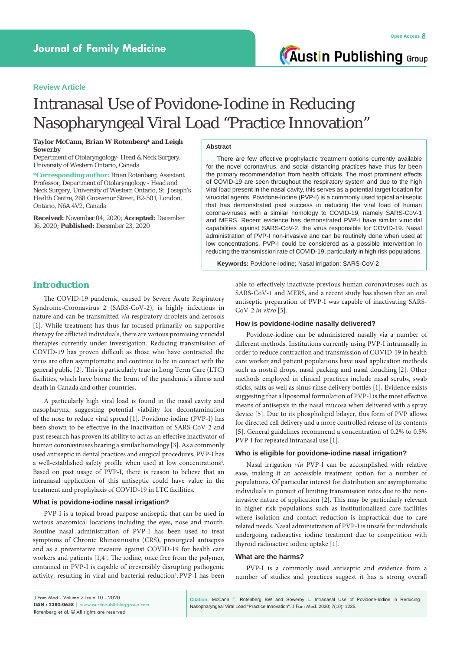# **Review Article**

# Intranasal Use of Povidone-Iodine in Reducing Nasopharyngeal Viral Load "Practice Innovation"

#### **Taylor McCann, Brian W Rotenberg\* and Leigh Sowerby**

Department of Otolaryngology- Head & Neck Surgery, University of Western Ontario, Canada

**\*Corresponding author:** Brian Rotenberg, Assistant Professor, Department of Otolaryngology - Head and Neck Surgery, University of Western Ontario, St. Joseph's Health Centre, 268 Grosvenor Street, B2-501, London, Ontario, N6A 4V2, Canada

**Received:** November 04, 2020; **Accepted:** December 16, 2020; **Published:** December 23, 2020

#### **Abstract**

There are few effective prophylactic treatment options currently available for the novel coronavirus, and social distancing practices have thus far been the primary recommendation from health officials. The most prominent effects of COVID-19 are seen throughout the respiratory system and due to the high viral load present in the nasal cavity, this serves as a potential target location for virucidal agents. Povidone-Iodine (PVP-I) is a commonly used topical antiseptic that has demonstrated past success in reducing the viral load of human corona-viruses with a similar homology to COVID-19, namely SARS-CoV-1 and MERS. Recent evidence has demonstrated PVP-I have similar virucidal capabilities against SARS-CoV-2, the virus responsible for COVID-19. Nasal administration of PVP-I non-invasive and can be routinely done when used at low concentrations. PVP-I could be considered as a possible intervention in reducing the transmission rate of COVID-19, particularly in high risk populations.

**Keywords:** Povidone-iodine; Nasal irrigation; SARS-CoV-2

# **Introduction**

The COVID-19 pandemic, caused by Severe Acute Respiratory Syndrome-Coronavirus 2 (SARS-CoV-2), is highly infectious in nature and can be transmitted *via* respiratory droplets and aerosols [1]. While treatment has thus far focused primarily on supportive therapy for afflicted individuals, there are various promising virucidal therapies currently under investigation. Reducing transmission of COVID-19 has proven difficult as those who have contracted the virus are often asymptomatic and continue to be in contact with the general public [2]. This is particularly true in Long Term Care (LTC) facilities, which have borne the brunt of the pandemic's illness and death in Canada and other countries.

A particularly high viral load is found in the nasal cavity and nasopharynx, suggesting potential viability for decontamination of the nose to reduce viral spread [1]. Povidone-iodine (PVP-I) has been shown to be effective in the inactivation of SARS-CoV-2 and past research has proven its ability to act as an effective inactivator of human coronaviruses bearing a similar homology [3]. As a commonly used antiseptic in dental practices and surgical procedures, PVP-I has a well-established safety profile when used at low concentrations<sup>4</sup>. Based on past usage of PVP-I, there is reason to believe that an intranasal application of this antiseptic could have value in the treatment and prophylaxis of COVID-19 in LTC facilities.

### **What is povidone-iodine nasal irrigation?**

PVP-I is a topical broad purpose antiseptic that can be used in various anatomical locations including the eyes, nose and mouth. Routine nasal administration of PVP-I has been used to treat symptoms of Chronic Rhinosinusitis (CRS), presurgical antisepsis and as a preventative measure against COVID-19 for health care workers and patients [1,4]. The iodine, once free from the polymer, contained in PVP-I is capable of irreversibly disrupting pathogenic activity, resulting in viral and bacterial reduction<sup>4</sup>.PVP-I has been able to effectively inactivate previous human coronaviruses such as SARS-CoV-1 and MERS, and a recent study has shown that an oral antiseptic preparation of PVP-I was capable of inactivating SARS-CoV-2 *in vitro* [3]*.*

#### **How is povidone-iodine nasally delivered?**

Povidone-iodine can be administered nasally via a number of different methods. Institutions currently using PVP-I intranasally in order to reduce contraction and transmission of COVID-19 in health care worker and patient populations have used application methods such as nostril drops, nasal packing and nasal douching [2]. Other methods employed in clinical practices include nasal scrubs, swab sticks, salts as well as sinus rinse delivery bottles [1]. Evidence exists suggesting that a liposomal formulation of PVP-I is the most effective means of antisepsis in the nasal mucosa when delivered with a spray device [5]. Due to its phospholipid bilayer, this form of PVP allows for directed cell delivery and a more controlled release of its contents [5]. General guidelines recommend a concentration of 0.2% to 0.5% PVP-I for repeated intranasal use [1].

#### **Who is eligible for povidone-iodine nasal irrigation?**

Nasal irrigation *via* PVP-I can be accomplished with relative ease, making it an accessible treatment option for a number of populations. Of particular interest for distribution are asymptomatic individuals in pursuit of limiting transmission rates due to the noninvasive nature of application [2]. This may be particularly relevant in higher risk populations such as institutionalized care facilities where isolation and contact reduction is impractical due to care related needs. Nasal administration of PVP-I is unsafe for individuals undergoing radioactive iodine treatment due to competition with thyroid radioactive iodine uptake [1].

#### **What are the harms?**

PVP-I is a commonly used antiseptic and evidence from a number of studies and practices suggest it has a strong overall

**Citation:** McCann T, Rotenberg BW and Sowerby L. Intranasal Use of Povidone-Iodine in Reducing Nasopharyngeal Viral Load "Practice Innovation". J Fam Med. 2020; 7(10): 1235.